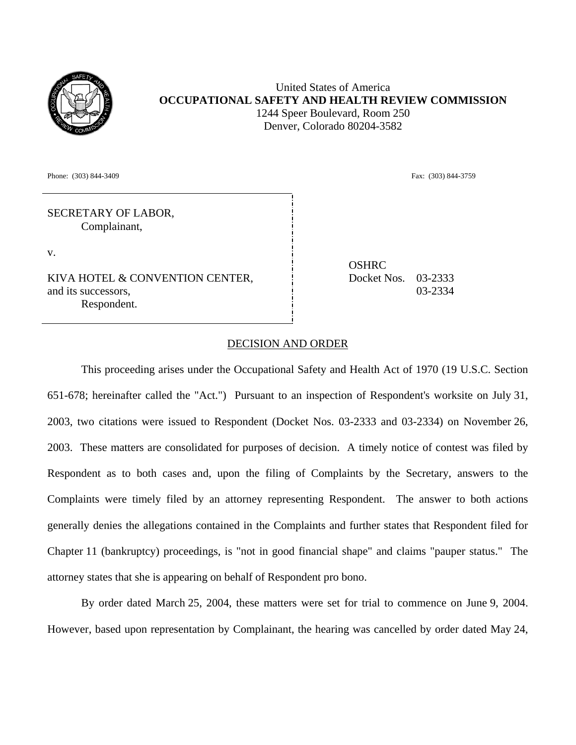

United States of America **OCCUPATIONAL SAFETY AND HEALTH REVIEW COMMISSION** 1244 Speer Boulevard, Room 250 Denver, Colorado 80204-3582

Phone: (303) 844-3409 Fax: (303) 844-3409 Fax: (303) 844-3759

SECRETARY OF LABOR, Complainant,

v.

KIVA HOTEL & CONVENTION CENTER, and its successors, Respondent.

**OSHRC** Docket Nos. 03-2333 03-2334

## DECISION AND ORDER

This proceeding arises under the Occupational Safety and Health Act of 1970 (19 U.S.C. Section 651-678; hereinafter called the "Act.") Pursuant to an inspection of Respondent's worksite on July 31, 2003, two citations were issued to Respondent (Docket Nos. 03-2333 and 03-2334) on November 26, 2003. These matters are consolidated for purposes of decision. A timely notice of contest was filed by Respondent as to both cases and, upon the filing of Complaints by the Secretary, answers to the Complaints were timely filed by an attorney representing Respondent. The answer to both actions generally denies the allegations contained in the Complaints and further states that Respondent filed for Chapter 11 (bankruptcy) proceedings, is "not in good financial shape" and claims "pauper status." The attorney states that she is appearing on behalf of Respondent pro bono.

By order dated March 25, 2004, these matters were set for trial to commence on June 9, 2004. However, based upon representation by Complainant, the hearing was cancelled by order dated May 24,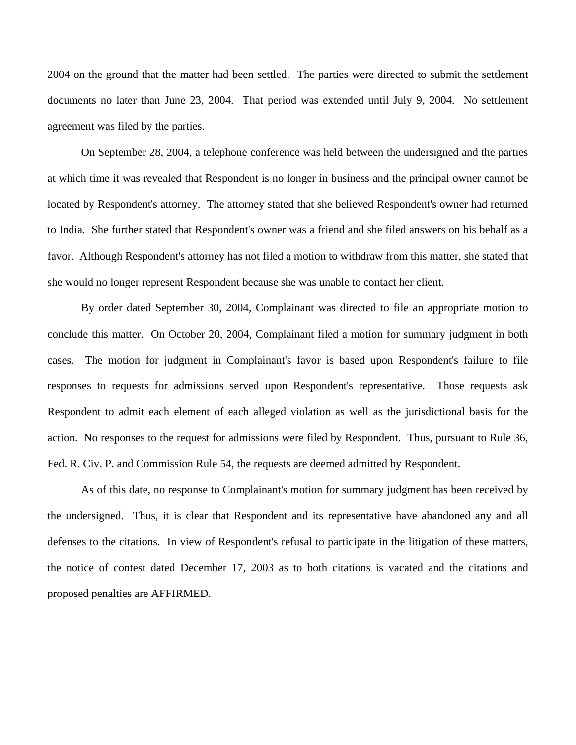2004 on the ground that the matter had been settled. The parties were directed to submit the settlement documents no later than June 23, 2004. That period was extended until July 9, 2004. No settlement agreement was filed by the parties.

 On September 28, 2004, a telephone conference was held between the undersigned and the parties at which time it was revealed that Respondent is no longer in business and the principal owner cannot be located by Respondent's attorney. The attorney stated that she believed Respondent's owner had returned to India. She further stated that Respondent's owner was a friend and she filed answers on his behalf as a favor. Although Respondent's attorney has not filed a motion to withdraw from this matter, she stated that she would no longer represent Respondent because she was unable to contact her client.

 By order dated September 30, 2004, Complainant was directed to file an appropriate motion to conclude this matter. On October 20, 2004, Complainant filed a motion for summary judgment in both cases. The motion for judgment in Complainant's favor is based upon Respondent's failure to file responses to requests for admissions served upon Respondent's representative. Those requests ask Respondent to admit each element of each alleged violation as well as the jurisdictional basis for the action. No responses to the request for admissions were filed by Respondent. Thus, pursuant to Rule 36, Fed. R. Civ. P. and Commission Rule 54, the requests are deemed admitted by Respondent.

 As of this date, no response to Complainant's motion for summary judgment has been received by the undersigned. Thus, it is clear that Respondent and its representative have abandoned any and all defenses to the citations. In view of Respondent's refusal to participate in the litigation of these matters, the notice of contest dated December 17, 2003 as to both citations is vacated and the citations and proposed penalties are AFFIRMED.